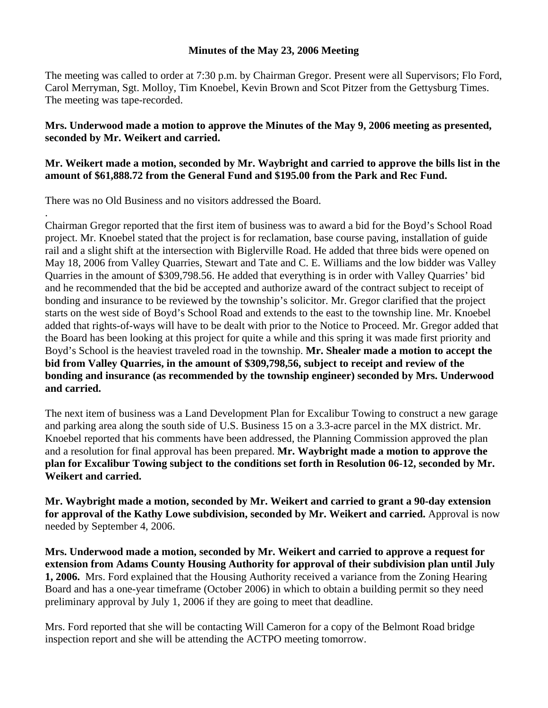## **Minutes of the May 23, 2006 Meeting**

The meeting was called to order at 7:30 p.m. by Chairman Gregor. Present were all Supervisors; Flo Ford, Carol Merryman, Sgt. Molloy, Tim Knoebel, Kevin Brown and Scot Pitzer from the Gettysburg Times. The meeting was tape-recorded.

## **Mrs. Underwood made a motion to approve the Minutes of the May 9, 2006 meeting as presented, seconded by Mr. Weikert and carried.**

## **Mr. Weikert made a motion, seconded by Mr. Waybright and carried to approve the bills list in the amount of \$61,888.72 from the General Fund and \$195.00 from the Park and Rec Fund.**

There was no Old Business and no visitors addressed the Board.

.

Chairman Gregor reported that the first item of business was to award a bid for the Boyd's School Road project. Mr. Knoebel stated that the project is for reclamation, base course paving, installation of guide rail and a slight shift at the intersection with Biglerville Road. He added that three bids were opened on May 18, 2006 from Valley Quarries, Stewart and Tate and C. E. Williams and the low bidder was Valley Quarries in the amount of \$309,798.56. He added that everything is in order with Valley Quarries' bid and he recommended that the bid be accepted and authorize award of the contract subject to receipt of bonding and insurance to be reviewed by the township's solicitor. Mr. Gregor clarified that the project starts on the west side of Boyd's School Road and extends to the east to the township line. Mr. Knoebel added that rights-of-ways will have to be dealt with prior to the Notice to Proceed. Mr. Gregor added that the Board has been looking at this project for quite a while and this spring it was made first priority and Boyd's School is the heaviest traveled road in the township. **Mr. Shealer made a motion to accept the bid from Valley Quarries, in the amount of \$309,798,56, subject to receipt and review of the bonding and insurance (as recommended by the township engineer) seconded by Mrs. Underwood and carried.** 

The next item of business was a Land Development Plan for Excalibur Towing to construct a new garage and parking area along the south side of U.S. Business 15 on a 3.3-acre parcel in the MX district. Mr. Knoebel reported that his comments have been addressed, the Planning Commission approved the plan and a resolution for final approval has been prepared. **Mr. Waybright made a motion to approve the plan for Excalibur Towing subject to the conditions set forth in Resolution 06-12, seconded by Mr. Weikert and carried.** 

**Mr. Waybright made a motion, seconded by Mr. Weikert and carried to grant a 90-day extension for approval of the Kathy Lowe subdivision, seconded by Mr. Weikert and carried.** Approval is now needed by September 4, 2006.

**Mrs. Underwood made a motion, seconded by Mr. Weikert and carried to approve a request for extension from Adams County Housing Authority for approval of their subdivision plan until July 1, 2006.** Mrs. Ford explained that the Housing Authority received a variance from the Zoning Hearing Board and has a one-year timeframe (October 2006) in which to obtain a building permit so they need preliminary approval by July 1, 2006 if they are going to meet that deadline.

Mrs. Ford reported that she will be contacting Will Cameron for a copy of the Belmont Road bridge inspection report and she will be attending the ACTPO meeting tomorrow.